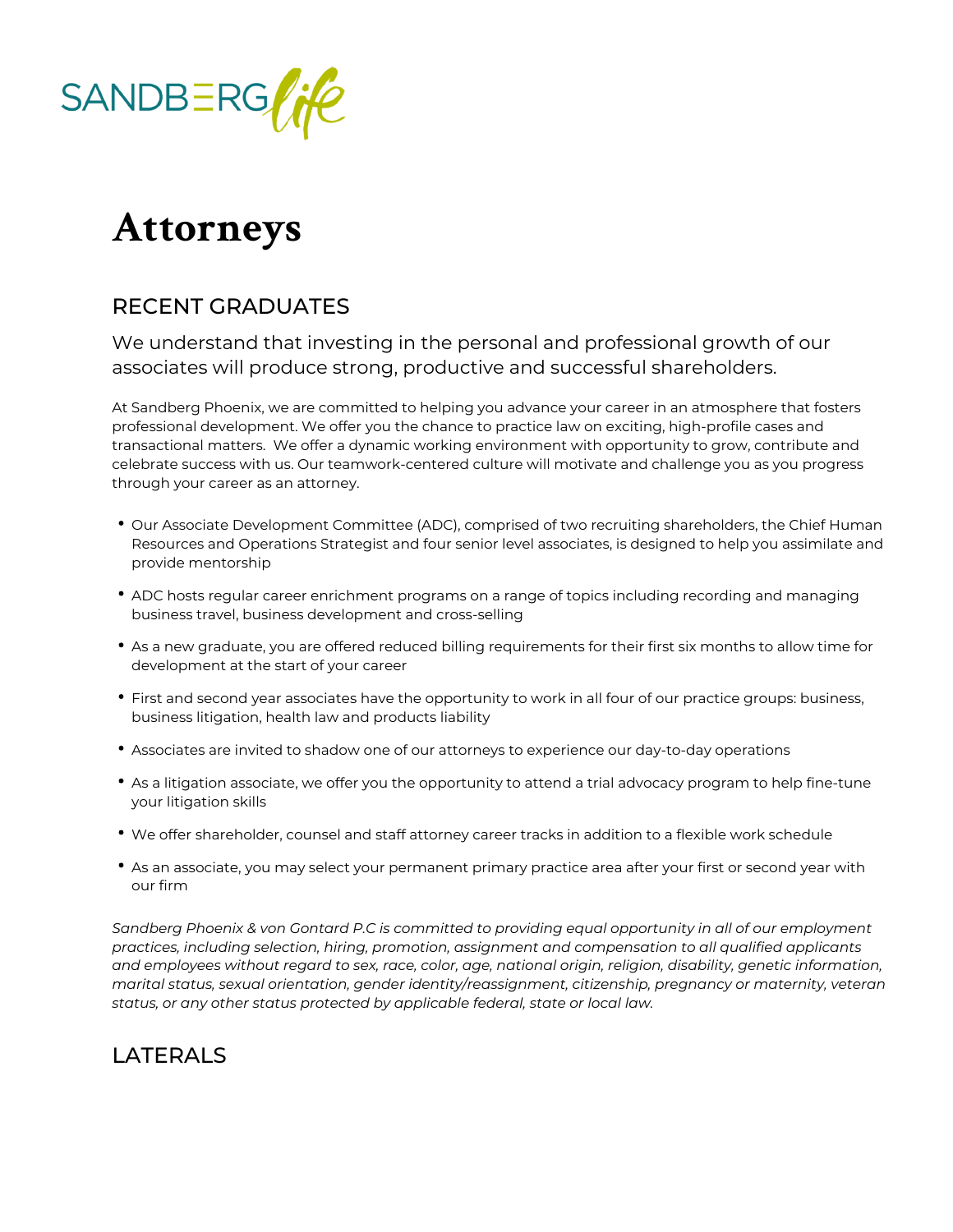

## **Attorneys**

## RECENT GRADUATES

We understand that investing in the personal and professional growth of our associates will produce strong, productive and successful shareholders.

At Sandberg Phoenix, we are committed to helping you advance your career in an atmosphere that fosters professional development. We offer you the chance to practice law on exciting, high-profile cases and transactional matters. We offer a dynamic working environment with opportunity to grow, contribute and celebrate success with us. Our teamwork-centered culture will motivate and challenge you as you progress through your career as an attorney.

- Our Associate Development Committee (ADC), comprised of two recruiting shareholders, the Chief Human Resources and Operations Strategist and four senior level associates, is designed to help you assimilate and provide mentorship
- ADC hosts regular career enrichment programs on a range of topics including recording and managing business travel, business development and cross-selling
- As a new graduate, you are offered reduced billing requirements for their first six months to allow time for development at the start of your career
- First and second year associates have the opportunity to work in all four of our practice groups: business, business litigation, health law and products liability
- Associates are invited to shadow one of our attorneys to experience our day-to-day operations
- As a litigation associate, we offer you the opportunity to attend a trial advocacy program to help fine-tune your litigation skills
- We offer shareholder, counsel and staff attorney career tracks in addition to a flexible work schedule
- As an associate, you may select your permanent primary practice area after your first or second year with our firm

*Sandberg Phoenix & von Gontard P.C is committed to providing equal opportunity in all of our employment practices, including selection, hiring, promotion, assignment and compensation to all qualified applicants and employees without regard to sex, race, color, age, national origin, religion, disability, genetic information, marital status, sexual orientation, gender identity/reassignment, citizenship, pregnancy or maternity, veteran*  status, or any other status protected by applicable federal, state or local law.

## LATERALS